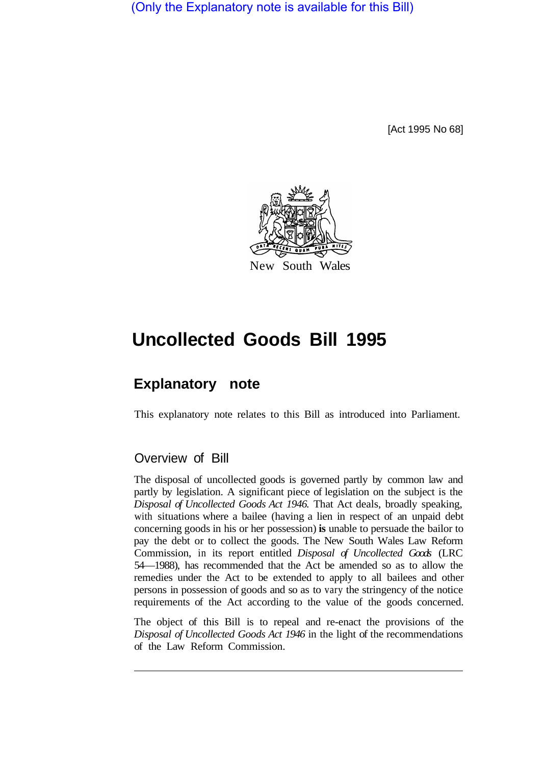(Only the Explanatory note is available for this Bill)

[Act 1995 No 68]



# **Uncollected Goods Bill 1995**

# **Explanatory note**

This explanatory note relates to this Bill as introduced into Parliament.

# Overview of Bill

The disposal of uncollected goods is governed partly by common law and partly by legislation. A significant piece of legislation on the subject is the *Disposal of Uncollected Goods Act 1946.* That Act deals, broadly speaking, with situations where a bailee (having a lien in respect of an unpaid debt concerning goods in his or her possession) **is** unable to persuade the bailor to pay the debt or to collect the goods. The New South Wales Law Reform Commission, in its report entitled *Disposal of Uncollected Goods* (LRC 54—1988), has recommended that the Act be amended so as to allow the remedies under the Act to be extended to apply to all bailees and other persons in possession of goods and so as to vary the stringency of the notice requirements of the Act according to the value of the goods concerned.

The object of this Bill is to repeal and re-enact the provisions of the *Disposal of Uncollected Goods Act 1946* in the light of the recommendations of the Law Reform Commission.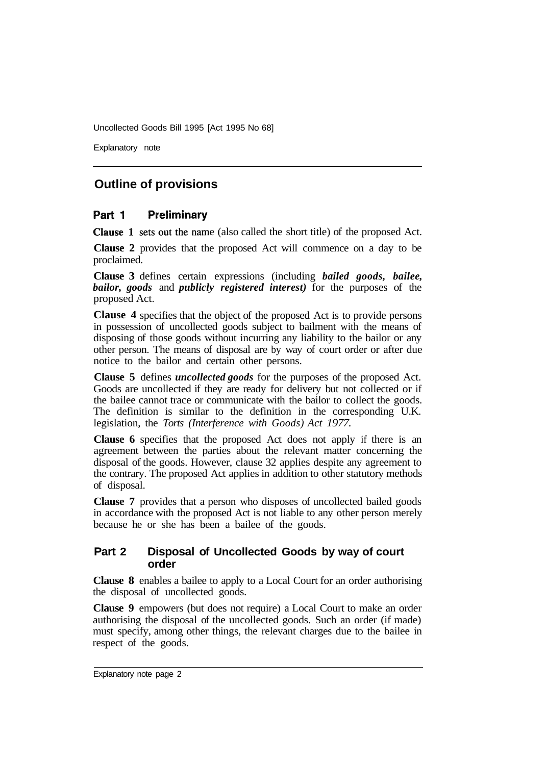Explanatory note

# **Outline of provisions**

#### Part 1 Preliminary

**Clause 1** sets out the name (also called the short title) of the proposed Act.

**Clause 2** provides that the proposed Act will commence on a day to be proclaimed.

**Clause 3** defines certain expressions (including *bailed goods, bailee, bailor, goods* and *publicly registered interest)* for the purposes of the proposed Act.

Clause 4 specifies that the object of the proposed Act is to provide persons in possession of uncollected goods subject to bailment with the means of disposing of those goods without incurring any liability to the bailor or any other person. The means of disposal are by way of court order or after due notice to the bailor and certain other persons.

**Clause 5** defines *uncollected goods* for the purposes of the proposed Act. Goods are uncollected if they are ready for delivery but not collected or if the bailee cannot trace or communicate with the bailor to collect the goods. The definition is similar to the definition in the corresponding U.K. legislation, the *Torts (Interference with Goods) Act 1977.* 

**Clause 6** specifies that the proposed Act does not apply if there is an agreement between the parties about the relevant matter concerning the disposal of the goods. However, clause 32 applies despite any agreement to the contrary. The proposed Act applies in addition to other statutory methods of disposal.

**Clause 7** provides that a person who disposes of uncollected bailed goods in accordance with the proposed Act is not liable to any other person merely because he or she has been a bailee of the goods.

## **Part 2 Disposal of Uncollected Goods by way of court order**

**Clause 8** enables a bailee to apply to a Local Court for an order authorising the disposal of uncollected goods.

**Clause 9** empowers (but does not require) a Local Court to make an order authorising the disposal of the uncollected goods. Such an order (if made) must specify, among other things, the relevant charges due to the bailee in respect of the goods.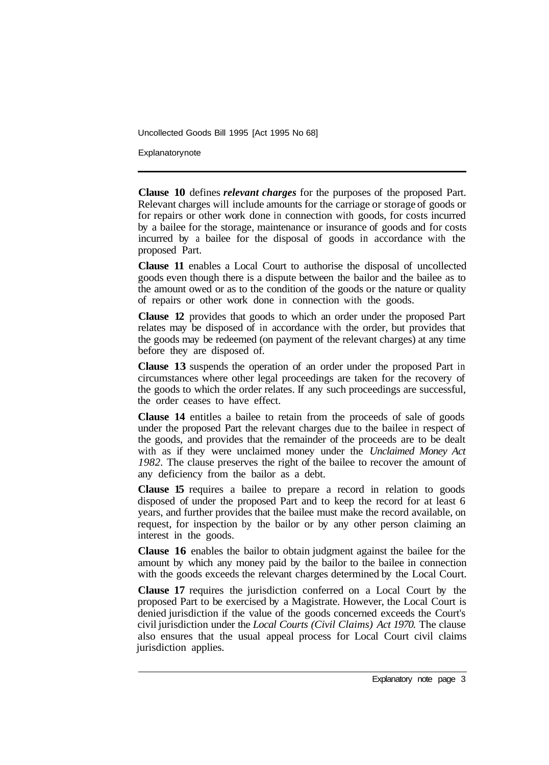**Explanatory note** 

**Clause 10** defines *relevant charges* for the purposes of the proposed Part. Relevant charges will include amounts for the carriage or storage of goods or for repairs or other work done in connection with goods, for costs incurred by a bailee for the storage, maintenance or insurance of goods and for costs incurred by a bailee for the disposal of goods in accordance with the proposed Part.

**Clause 11** enables a Local Court to authorise the disposal of uncollected goods even though there is a dispute between the bailor and the bailee as to the amount owed or as to the condition of the goods or the nature or quality of repairs or other work done in connection with the goods.

**Clause 12** provides that goods to which an order under the proposed Part relates may be disposed of in accordance with the order, but provides that the goods may be redeemed (on payment of the relevant charges) at any time before they are disposed of.

**Clause 13** suspends the operation of an order under the proposed Part in circumstances where other legal proceedings are taken for the recovery of the goods to which the order relates. If any such proceedings are successful, the order ceases to have effect.

**Clause 14** entitles a bailee to retain from the proceeds of sale of goods under the proposed Part the relevant charges due to the bailee in respect of the goods, and provides that the remainder of the proceeds are to be dealt with as if they were unclaimed money under the *Unclaimed Money Act 1982.* The clause preserves the right of the bailee to recover the amount of any deficiency from the bailor as a debt.

**Clause 15** requires a bailee to prepare a record in relation to goods disposed of under the proposed Part and to keep the record for at least 6 years, and further provides that the bailee must make the record available, on request, for inspection by the bailor or by any other person claiming an interest in the goods.

**Clause 16** enables the bailor to obtain judgment against the bailee for the amount by which any money paid by the bailor to the bailee in connection with the goods exceeds the relevant charges determined by the Local Court.

**Clause 17** requires the jurisdiction conferred on a Local Court by the proposed Part to be exercised by a Magistrate. However, the Local Court is denied jurisdiction if the value of the goods concerned exceeds the Court's civil jurisdiction under the *Local Courts (Civil Claims) Act 1970.* The clause also ensures that the usual appeal process for Local Court civil claims jurisdiction applies.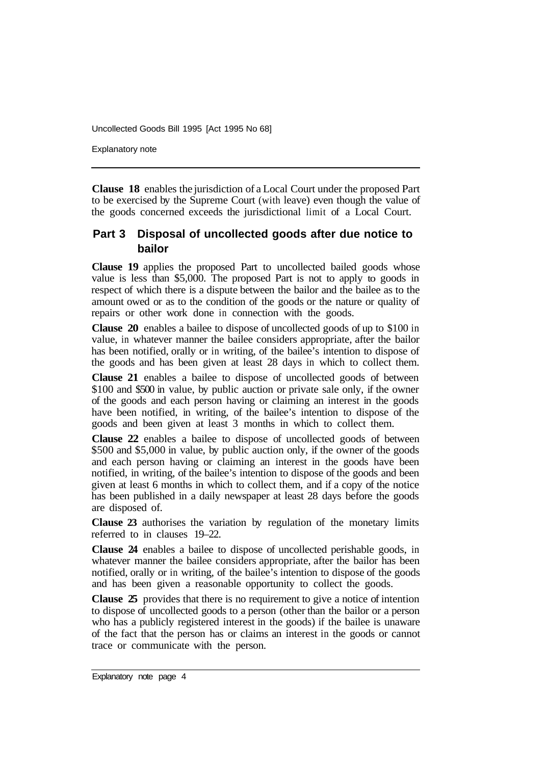Explanatory note

**Clause 18** enables the jurisdiction of a Local Court under the proposed Part to be exercised by the Supreme Court (with leave) even though the value of the goods concerned exceeds the jurisdictional limit of a Local Court.

# **Part 3 Disposal of uncollected goods after due notice to bailor**

**Clause 19** applies the proposed Part to uncollected bailed goods whose value is less than \$5,000. The proposed Part is not to apply to goods in respect of which there is a dispute between the bailor and the bailee as to the amount owed or as to the condition of the goods or the nature or quality of repairs or other work done in connection with the goods.

**Clause 20** enables a bailee to dispose of uncollected goods of up to \$100 in value, in whatever manner the bailee considers appropriate, after the bailor has been notified, orally or in writing, of the bailee's intention to dispose of the goods and has been given at least 28 days in which to collect them.

**Clause 21** enables a bailee to dispose of uncollected goods of between \$100 and \$500 in value, by public auction or private sale only, if the owner of the goods and each person having or claiming an interest in the goods have been notified, in writing, of the bailee's intention to dispose of the goods and been given at least 3 months in which to collect them.

**Clause 22** enables a bailee to dispose of uncollected goods of between \$500 and \$5,000 in value, by public auction only, if the owner of the goods and each person having or claiming an interest in the goods have been notified, in writing, of the bailee's intention to dispose of the goods and been given at least 6 months in which to collect them, and if a copy of the notice has been published in a daily newspaper at least 28 days before the goods are disposed of.

**Clause 23** authorises the variation by regulation of the monetary limits referred to in clauses 19–22.

**Clause 24** enables a bailee to dispose of uncollected perishable goods, in whatever manner the bailee considers appropriate, after the bailor has been notified, orally or in writing, of the bailee's intention to dispose of the goods and has been given a reasonable opportunity to collect the goods.

**Clause 25** provides that there is no requirement to give a notice of intention to dispose of uncollected goods to a person (other than the bailor or a person who has a publicly registered interest in the goods) if the bailee is unaware of the fact that the person has or claims an interest in the goods or cannot trace or communicate with the person.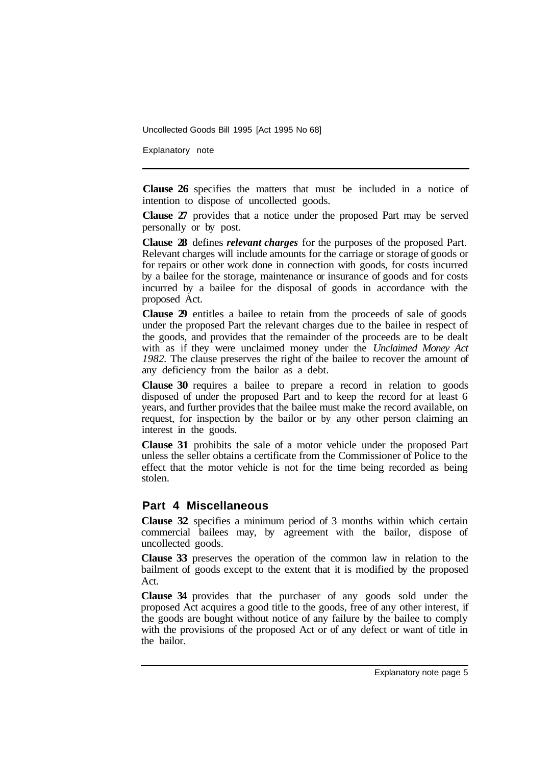Explanatory note

**Clause 26** specifies the matters that must be included in a notice of intention to dispose of uncollected goods.

**Clause 27** provides that a notice under the proposed Part may be served personally or by post.

**Clause 28** defines *relevant charges* for the purposes of the proposed Part. Relevant charges will include amounts for the carriage or storage of goods or for repairs or other work done in connection with goods, for costs incurred by a bailee for the storage, maintenance or insurance of goods and for costs incurred by a bailee for the disposal of goods in accordance with the proposed Act.

**Clause 29** entitles a bailee to retain from the proceeds of sale of goods under the proposed Part the relevant charges due to the bailee in respect of the goods, and provides that the remainder of the proceeds are to be dealt with as if they were unclaimed money under the *Unclaimed Money Act 1982.* The clause preserves the right of the bailee to recover the amount of any deficiency from the bailor as a debt.

**Clause 30** requires a bailee to prepare a record in relation to goods disposed of under the proposed Part and to keep the record for at least 6 years, and further provides that the bailee must make the record available, on request, for inspection by the bailor or by any other person claiming an interest in the goods.

**Clause 31** prohibits the sale of a motor vehicle under the proposed Part unless the seller obtains a certificate from the Commissioner of Police to the effect that the motor vehicle is not for the time being recorded as being stolen.

### **Part 4 Miscellaneous**

**Clause 32** specifies a minimum period of 3 months within which certain commercial bailees may, by agreement with the bailor, dispose of uncollected goods.

**Clause 33** preserves the operation of the common law in relation to the bailment of goods except to the extent that it is modified by the proposed Act.

**Clause 34** provides that the purchaser of any goods sold under the proposed Act acquires a good title to the goods, free of any other interest, if the goods are bought without notice of any failure by the bailee to comply with the provisions of the proposed Act or of any defect or want of title in the bailor.